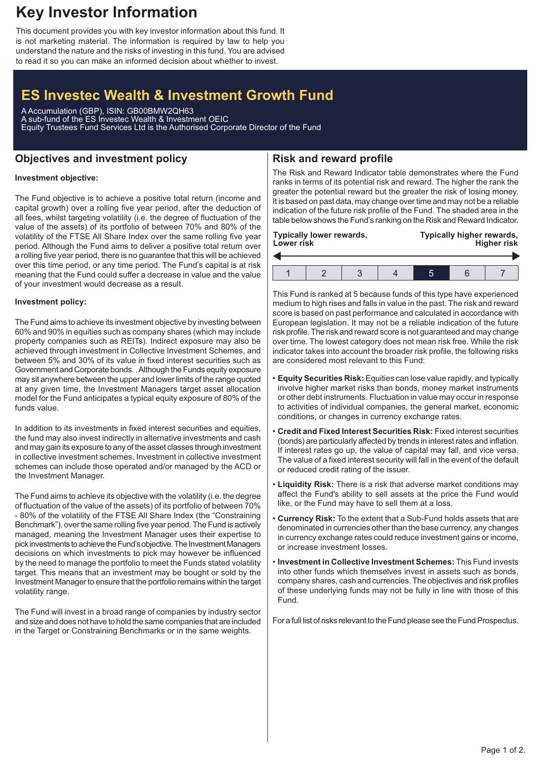## **Key Investor Information**

This document provides you with key investor information about this fund. It is not marketing material. The information is required by law to help you understand the nature and the risks of investing in this fund. You are advised to read it so you can make an informed decision about whether to invest.

# **ES Investec Wealth & Investment Growth Fund**

A Accumulation (GBP), ISIN: GB00BMW2QH63 A sub-fund of the ES Investec Wealth & Investment OEIC Equity Trustees Fund Services Ltd is the Authorised Corporate Director of the Fund

### **Objectives and investment policy**

## **Risk and reward profile**

### **Investment objective:**

The Fund objective is to achieve a positive total return (income and capital growth) over a rolling five year period, after the deduction of all fees, whilst targeting volatility (i.e. the degree of fluctuation of the value of the assets) of its portfolio of between 70% and 80% of the volatility of the FTSE All Share Index over the same rolling five year period. Although the Fund aims to deliver a positive total return over a rolling five year period, there is no guarantee that this will be achieved over this time period, or any time period. The Fund's capital is at risk meaning that the Fund could suffer a decrease in value and the value of your investment would decrease as a result.

#### **Investment policy:**

The Fund aims to achieve its investment objective by investing between 60% and 90% in equities such as company shares (which may include property companies such as REITs). Indirect exposure may also be achieved through investment in Collective Investment Schemes, and between 5% and 30% of its value in fixed interest securities such as Government and Corporate bonds. .Although the Funds equity exposure may sit anywhere between the upper and lower limits of the range quoted at any given time, the Investment Managers target asset allocation model for the Fund anticipates a typical equity exposure of 80% of the funds value.

In addition to its investments in fixed interest securities and equities, the fund may also invest indirectly in alternative investments and cash and may gain its exposure to any of the asset classes through investment in collective investment schemes. Investment in collective investment schemes can include those operated and/or managed by the ACD or the Investment Manager.

The Fund aims to achieve its objective with the volatility (i.e. the degree of fluctuation of the value of the assets) of its portfolio of between 70% - 80% of the volatility of the FTSE All Share Index (the "Constraining Benchmark"), over the same rolling five year period. The Fund is actively managed, meaning the Investment Manager uses their expertise to pick investments to achieve the Fund's objective. The Investment Managers decisions on which investments to pick may however be influenced by the need to manage the portfolio to meet the Funds stated volatility target. This means that an investment may be bought or sold by the Investment Manager to ensure that the portfolio remains within the target volatility range.

The Fund will invest in a broad range of companies by industry sector and size and does not have to hold the same companies that are included in the Target or Constraining Benchmarks or in the same weights.

The Risk and Reward Indicator table demonstrates where the Fund ranks in terms of its potential risk and reward. The higher the rank the greater the potential reward but the greater the risk of losing money. It is based on past data, may change over time and may not be a reliable indication of the future risk profile of the Fund. The shaded area in the table below shows the Fund's ranking on the Risk and Reward Indicator.

| <b>Lower risk</b> | <b>Typically lower rewards,</b> |  | Typically higher rewards,<br><b>Higher risk</b> |  |  |  |
|-------------------|---------------------------------|--|-------------------------------------------------|--|--|--|
|                   |                                 |  |                                                 |  |  |  |
|                   |                                 |  |                                                 |  |  |  |

This Fund is ranked at 5 because funds of this type have experienced medium to high rises and falls in value in the past. The risk and reward score is based on past performance and calculated in accordance with European legislation. It may not be a reliable indication of the future risk profile. The risk and reward score is not guaranteed and may change over time. The lowest category does not mean risk free. While the risk indicator takes into account the broader risk profile, the following risks are considered most relevant to this Fund:

- **Equity Securities Risk:** Equities can lose value rapidly, and typically involve higher market risks than bonds, money market instruments or other debt instruments. Fluctuation in value may occur in response to activities of individual companies, the general market, economic conditions, or changes in currency exchange rates.
- **Credit and Fixed Interest Securities Risk:** Fixed interest securities (bonds) are particularly affected by trends in interest rates and inflation. If interest rates go up, the value of capital may fall, and vice versa. The value of a fixed interest security will fall in the event of the default or reduced credit rating of the issuer.
- **Liquidity Risk:** There is a risk that adverse market conditions may affect the Fund's ability to sell assets at the price the Fund would like, or the Fund may have to sell them at a loss.
- **Currency Risk:** To the extent that a Sub-Fund holds assets that are denominated in currencies other than the base currency, any changes in currency exchange rates could reduce investment gains or income, or increase investment losses.
- **Investment in Collective Investment Schemes:** This Fund invests into other funds which themselves invest in assets such as bonds, company shares, cash and currencies. The objectives and risk profiles of these underlying funds may not be fully in line with those of this Fund.

For a full list of risks relevant to the Fund please see the Fund Prospectus.